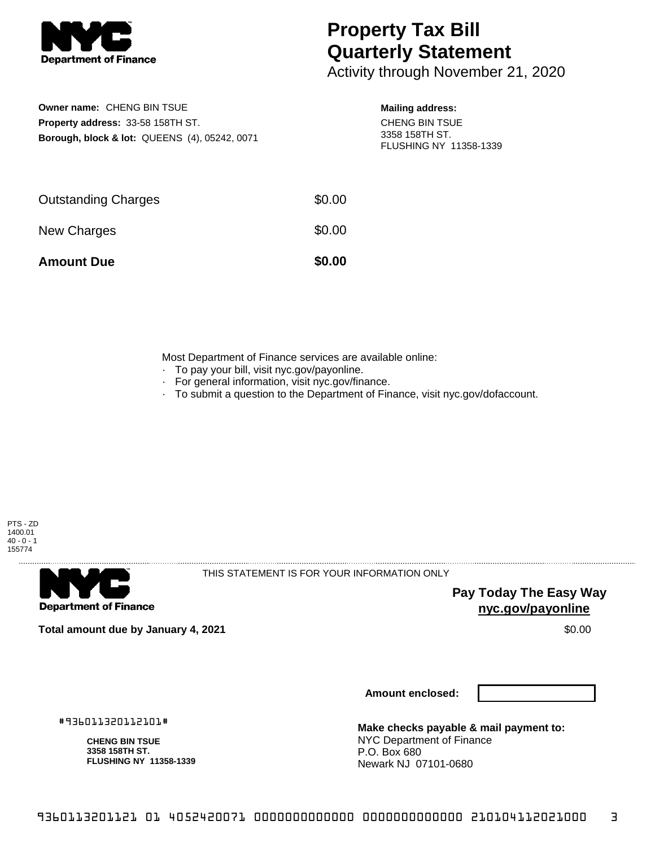

## **Property Tax Bill Quarterly Statement**

Activity through November 21, 2020

**Owner name:** CHENG BIN TSUE **Property address:** 33-58 158TH ST. **Borough, block & lot:** QUEENS (4), 05242, 0071

## **Mailing address:**

CHENG BIN TSUE 3358 158TH ST. FLUSHING NY 11358-1339

| <b>Amount Due</b>          | \$0.00 |
|----------------------------|--------|
| New Charges                | \$0.00 |
| <b>Outstanding Charges</b> | \$0.00 |

Most Department of Finance services are available online:

- · To pay your bill, visit nyc.gov/payonline.
- For general information, visit nyc.gov/finance.
- · To submit a question to the Department of Finance, visit nyc.gov/dofaccount.



. . . . . . . . . . . . . . . .

**Department of Finance** 

THIS STATEMENT IS FOR YOUR INFORMATION ONLY

**Pay Today The Easy Way nyc.gov/payonline**

**Total amount due by January 4, 2021** \$0.00

**Amount enclosed:**

#936011320112101#

**CHENG BIN TSUE 3358 158TH ST. FLUSHING NY 11358-1339**

**Make checks payable & mail payment to:** NYC Department of Finance P.O. Box 680 Newark NJ 07101-0680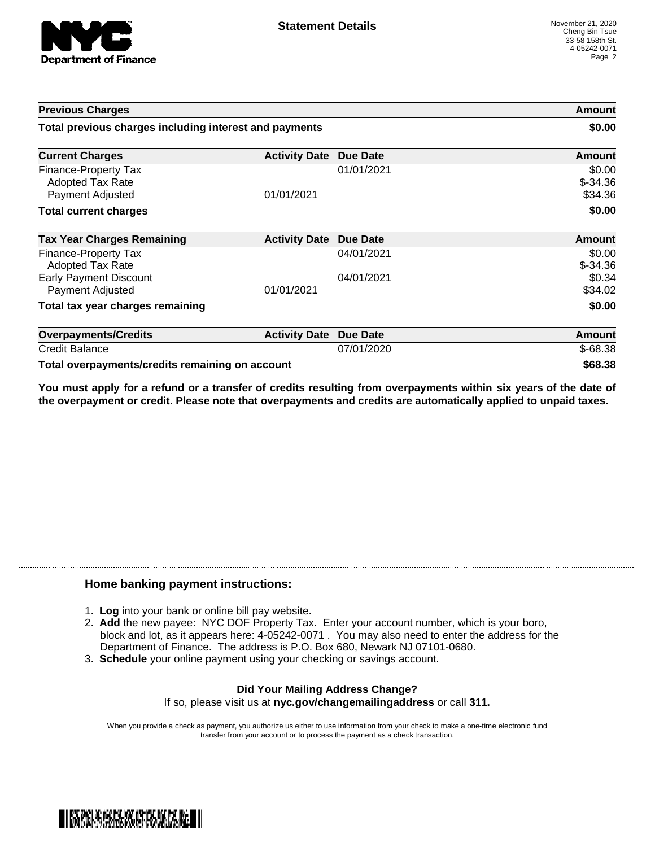

| <b>Previous Charges</b>                                      |                      |                 | Amount                         |
|--------------------------------------------------------------|----------------------|-----------------|--------------------------------|
| Total previous charges including interest and payments       |                      |                 | \$0.00                         |
| <b>Current Charges</b>                                       | <b>Activity Date</b> | <b>Due Date</b> | Amount                         |
| Finance-Property Tax<br>Adopted Tax Rate<br>Payment Adjusted | 01/01/2021           | 01/01/2021      | \$0.00<br>$$-34.36$<br>\$34.36 |
| <b>Total current charges</b>                                 |                      |                 | \$0.00                         |
| <b>Tax Year Charges Remaining</b>                            | <b>Activity Date</b> | <b>Due Date</b> | <b>Amount</b>                  |
| Finance-Property Tax<br>Adopted Tax Rate                     |                      | 04/01/2021      | \$0.00<br>$$-34.36$            |
| <b>Early Payment Discount</b><br>Payment Adjusted            | 01/01/2021           | 04/01/2021      | \$0.34<br>\$34.02              |
| Total tax year charges remaining                             |                      |                 | \$0.00                         |
| <b>Overpayments/Credits</b>                                  | <b>Activity Date</b> | <b>Due Date</b> | Amount                         |
| <b>Credit Balance</b>                                        |                      | 07/01/2020      | $$-68.38$                      |
| Total overpayments/credits remaining on account              |                      |                 | \$68.38                        |

You must apply for a refund or a transfer of credits resulting from overpayments within six years of the date of **the overpayment or credit. Please note that overpayments and credits are automatically applied to unpaid taxes.**

## **Home banking payment instructions:**

- 1. **Log** into your bank or online bill pay website.
- 2. **Add** the new payee: NYC DOF Property Tax. Enter your account number, which is your boro, block and lot, as it appears here: 4-05242-0071 . You may also need to enter the address for the Department of Finance. The address is P.O. Box 680, Newark NJ 07101-0680.
- 3. **Schedule** your online payment using your checking or savings account.

## **Did Your Mailing Address Change?** If so, please visit us at **nyc.gov/changemailingaddress** or call **311.**

When you provide a check as payment, you authorize us either to use information from your check to make a one-time electronic fund transfer from your account or to process the payment as a check transaction.